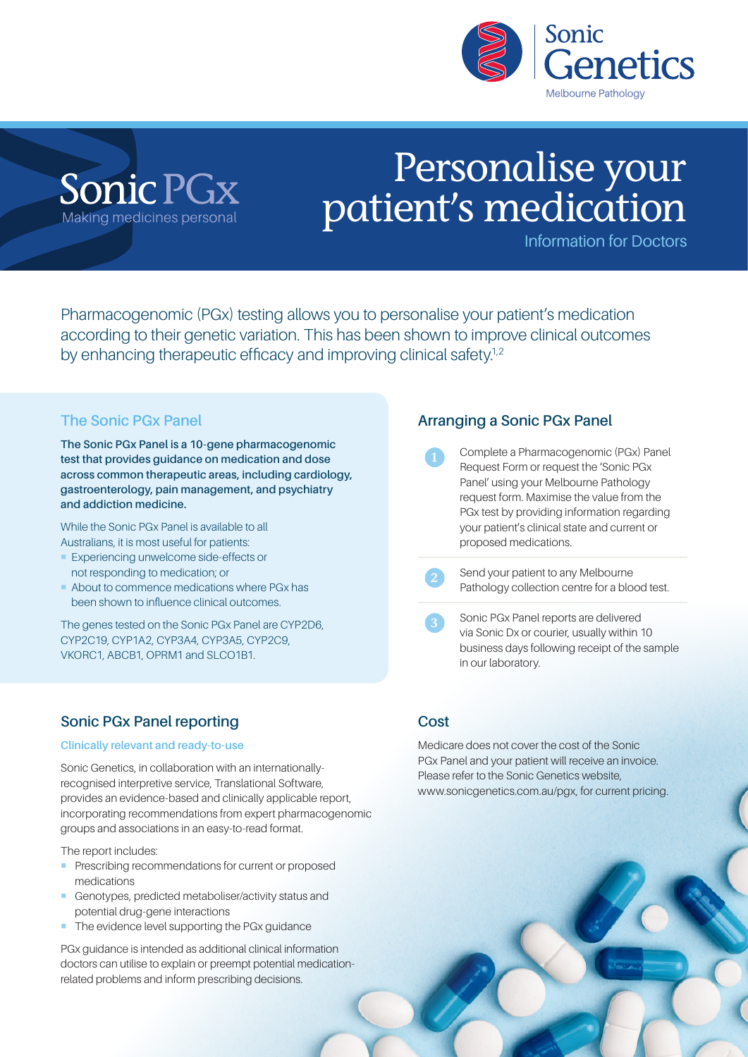

## Sonic PGx Making medicines personal

# Personalise your patient's medication

Information for Doctors

Pharmacogenomic (PGx) testing allows you to personalise your patient's medication according to their genetic variation. This has been shown to improve clinical outcomes by enhancing therapeutic efficacy and improving clinical safety.<sup>1,2</sup>

## **The Sonic PGx Panel**

**The Sonic PGx Panel is a 10-gene pharmacogenomic test that provides guidance on medication and dose across common therapeutic areas, including cardiology, gastroenterology, pain management, and psychiatry and addiction medicine.**

While the Sonic PGx Panel is available to all Australians, it is most useful for patients:

- **Experiencing unwelcome side-effects or** not responding to medication; or
- ¡ About to commence medications where PGx has been shown to influence clinical outcomes.

The genes tested on the Sonic PGx Panel are CYP2D6, CYP2C19, CYP1A2, CYP3A4, CYP3A5, CYP2C9, VKORC1, ABCB1, OPRM1 and SLCO1B1.

## **Sonic PGx Panel reporting**

## **Clinically relevant and ready-to-use**

Sonic Genetics, in collaboration with an internationallyrecognised interpretive service, Translational Software, provides an evidence-based and clinically applicable report, incorporating recommendations from expert pharmacogenomic groups and associations in an easy-to-read format.

The report includes:

- **Prescribing recommendations for current or proposed** medications
- ¡ Genotypes, predicted metaboliser/activity status and potential drug-gene interactions
- The evidence level supporting the PGx guidance

PGx guidance is intended as additional clinical information doctors can utilise to explain or preempt potential medicationrelated problems and inform prescribing decisions.

## **Arranging a Sonic PGx Panel**

- 1 Complete a Pharmacogenomic (PGx) Panel Request Form or request the 'Sonic PGx Panel' using your Melbourne Pathology request form. Maximise the value from the PGx test by providing information regarding your patient's clinical state and current or proposed medications.
- Send your patient to any Melbourne Pathology collection centre for a blood test.
- 3 Sonic PGx Panel reports are delivered via Sonic Dx or courier, usually within 10 business days following receipt of the sample in our laboratory.

## **Cost**

Medicare does not cover the cost of the Sonic PGx Panel and your patient will receive an invoice. Please refer to the Sonic Genetics website, www.sonicgenetics.com.au/pgx, for current pricing.